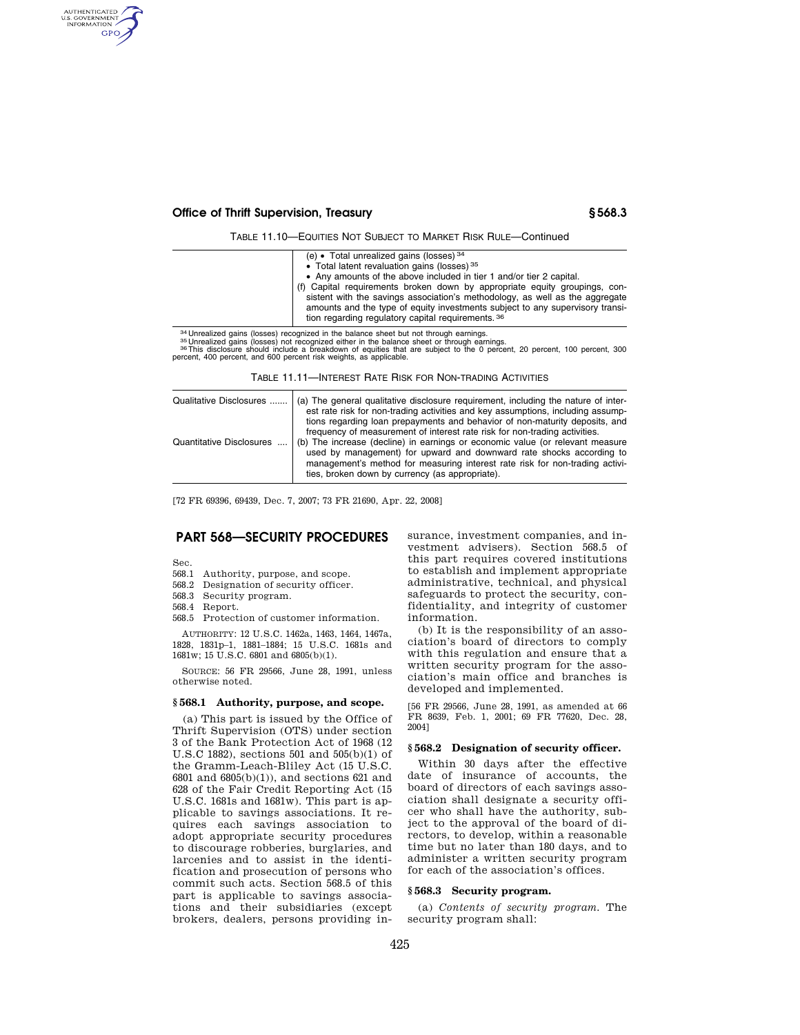# **Office of Thrift Supervision, Treasury § 568.3**

TABLE 11.10—EQUITIES NOT SUBJECT TO MARKET RISK RULE—Continued

|                                                                                       | (e) • Total unrealized gains (losses) $34$                                                                                                                                                                                                                                                        |
|---------------------------------------------------------------------------------------|---------------------------------------------------------------------------------------------------------------------------------------------------------------------------------------------------------------------------------------------------------------------------------------------------|
|                                                                                       | • Total latent revaluation gains (losses) 35                                                                                                                                                                                                                                                      |
|                                                                                       | • Any amounts of the above included in tier 1 and/or tier 2 capital.                                                                                                                                                                                                                              |
|                                                                                       | (f) Capital requirements broken down by appropriate equity groupings, con-<br>sistent with the savings association's methodology, as well as the aggregate<br>amounts and the type of equity investments subject to any supervisory transi-<br>tion regarding regulatory capital requirements. 36 |
|                                                                                       |                                                                                                                                                                                                                                                                                                   |
| 34 Integlized gains (losses) recognized in the balance sheet but not through earnings |                                                                                                                                                                                                                                                                                                   |

somewhere the state of the contract in the balance sheet out flow under the animys-<br>as Unrealized gains (losses) not recognized either in the balance sheet or through earnings.<br><sup>36</sup> This disclosure should include a breakdo percent, 400 percent, and 600 percent risk weights, as applicable.

TABLE 11.11—INTEREST RATE RISK FOR NON-TRADING ACTIVITIES

| Qualitative Disclosures  | (a) The general qualitative disclosure requirement, including the nature of inter-<br>est rate risk for non-trading activities and key assumptions, including assump-<br>tions regarding loan prepayments and behavior of non-maturity deposits, and<br>frequency of measurement of interest rate risk for non-trading activities. |
|--------------------------|------------------------------------------------------------------------------------------------------------------------------------------------------------------------------------------------------------------------------------------------------------------------------------------------------------------------------------|
| Quantitative Disclosures | (b) The increase (decline) in earnings or economic value (or relevant measure<br>used by management) for upward and downward rate shocks according to<br>management's method for measuring interest rate risk for non-trading activi-<br>ties, broken down by currency (as appropriate).                                           |

[72 FR 69396, 69439, Dec. 7, 2007; 73 FR 21690, Apr. 22, 2008]

# **PART 568—SECURITY PROCEDURES**

Sec.

AUTHENTICATED<br>U.S. GOVERNMENT<br>INFORMATION GPO

- 568.1 Authority, purpose, and scope.
- 568.2 Designation of security officer.

568.3 Security program.

- 568.4 Report.
- 568.5 Protection of customer information.

AUTHORITY: 12 U.S.C. 1462a, 1463, 1464, 1467a, 1828, 1831p–1, 1881–1884; 15 U.S.C. 1681s and 1681w; 15 U.S.C. 6801 and 6805(b)(1).

SOURCE: 56 FR 29566, June 28, 1991, unless otherwise noted.

## **§ 568.1 Authority, purpose, and scope.**

(a) This part is issued by the Office of Thrift Supervision (OTS) under section 3 of the Bank Protection Act of 1968 (12 U.S.C 1882), sections 501 and 505(b)(1) of the Gramm-Leach-Bliley Act (15 U.S.C. 6801 and 6805(b)(1)), and sections 621 and 628 of the Fair Credit Reporting Act (15 U.S.C. 1681s and 1681w). This part is applicable to savings associations. It requires each savings association to adopt appropriate security procedures to discourage robberies, burglaries, and larcenies and to assist in the identification and prosecution of persons who commit such acts. Section 568.5 of this part is applicable to savings associations and their subsidiaries (except brokers, dealers, persons providing insurance, investment companies, and investment advisers). Section 568.5 of this part requires covered institutions to establish and implement appropriate administrative, technical, and physical safeguards to protect the security, confidentiality, and integrity of customer information.

(b) It is the responsibility of an association's board of directors to comply with this regulation and ensure that a written security program for the association's main office and branches is developed and implemented.

[56 FR 29566, June 28, 1991, as amended at 66 FR 8639, Feb. 1, 2001; 69 FR 77620, Dec. 28, 2004]

## **§ 568.2 Designation of security officer.**

Within 30 days after the effective date of insurance of accounts, the board of directors of each savings association shall designate a security officer who shall have the authority, subject to the approval of the board of directors, to develop, within a reasonable time but no later than 180 days, and to administer a written security program for each of the association's offices.

## **§ 568.3 Security program.**

(a) *Contents of security program.* The security program shall: